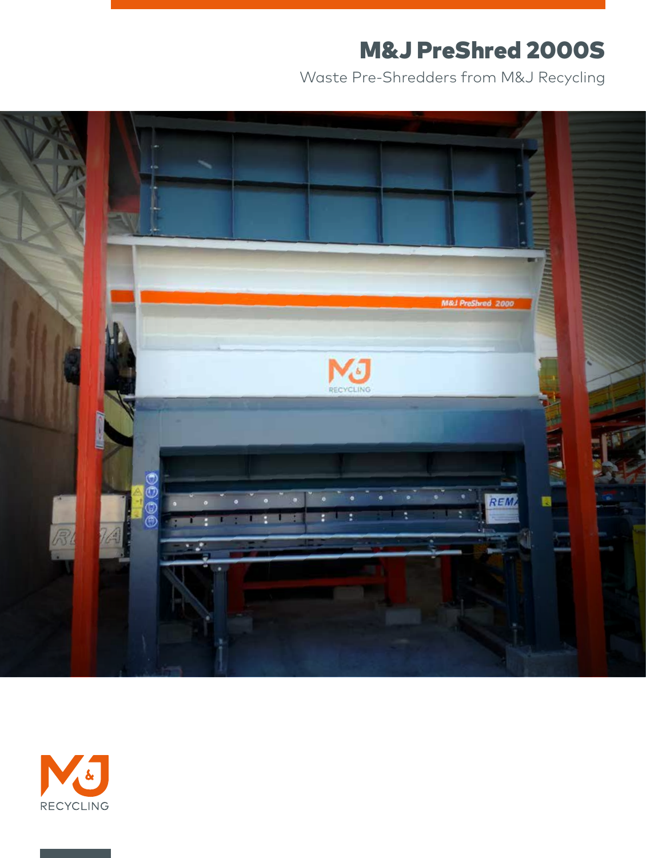## M&J PreShred 2000S

Waste Pre-Shredders from M&J Recycling



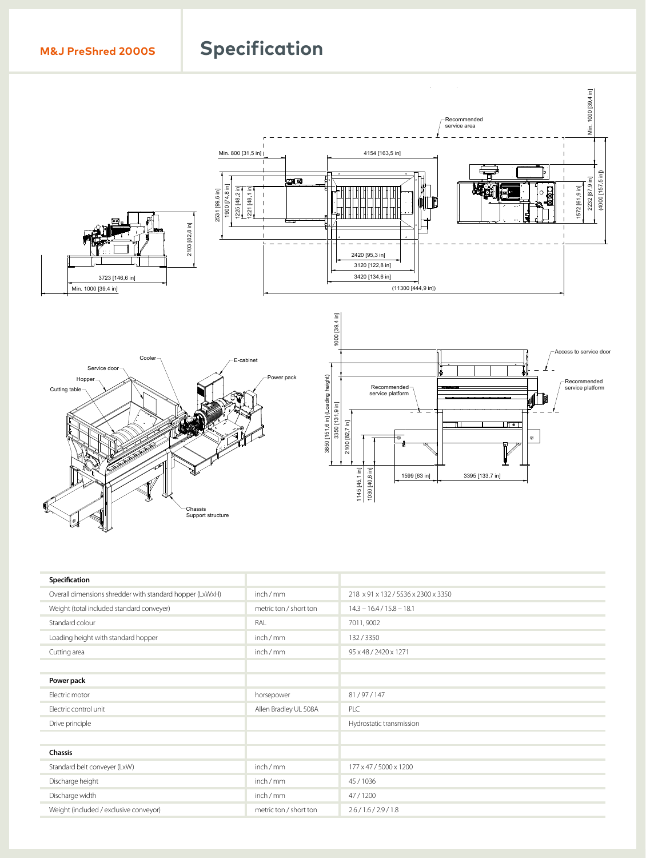# 21<br>210 **[82,7 in]** 385<br>1<br>385 **M&J PreShred 2000s** Specification



| Specification                                            |                        |                                     |
|----------------------------------------------------------|------------------------|-------------------------------------|
| Overall dimensions shredder with standard hopper (LxWxH) | inch / mm              | 218 x 91 x 132 / 5536 x 2300 x 3350 |
| Weight (total included standard conveyer)                | metric ton / short ton | $14.3 - 16.4 / 15.8 - 18.1$         |
| Standard colour                                          | RAL                    | 7011, 9002                          |
| Loading height with standard hopper                      | inch / mm              | 132/3350                            |
| Cutting area                                             | inch / mm              | 95 x 48 / 2420 x 1271               |
|                                                          |                        |                                     |
| Power pack                                               |                        |                                     |
| Electric motor                                           | horsepower             | 81/97/147                           |
| Electric control unit                                    | Allen Bradley UL 508A  | PLC                                 |
| Drive principle                                          |                        | Hydrostatic transmission            |
| <b>The Committee of the Committee</b>                    |                        |                                     |
| Chassis                                                  |                        |                                     |
| Standard belt conveyer (LxW)<br>___                      | inch / mm              | 177 x 47 / 5000 x 1200              |
| Discharge height                                         | inch / mm              | 45/1036                             |
| Discharge width                                          | inch / mm              | 47/1200                             |
| Weight (included / exclusive conveyor)                   | metric ton / short ton | 2.6 / 1.6 / 2.9 / 1.8               |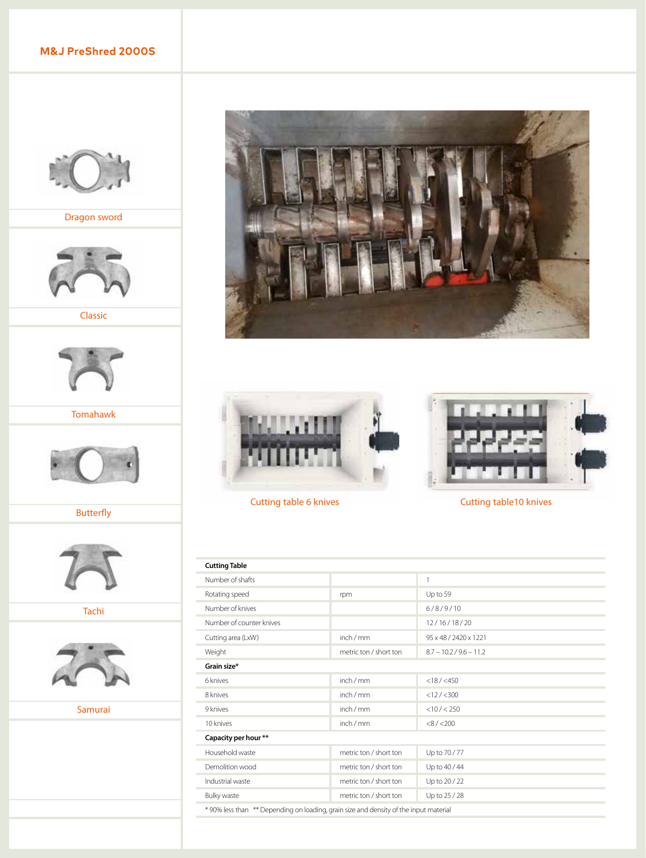### **M&J PreShred 2000S**



Dragon sword



Classic



Tomahawk



Butterfly



Tachi



Samurai







Cutting table 6 knives Cutting table 10 knives

| <b>Cutting Table</b>                                                                                                                                                                                                          |                        |                           |  |  |
|-------------------------------------------------------------------------------------------------------------------------------------------------------------------------------------------------------------------------------|------------------------|---------------------------|--|--|
| Number of shafts                                                                                                                                                                                                              |                        | $\mathbf{1}$              |  |  |
| Rotating speed                                                                                                                                                                                                                | rpm                    | Up to 59                  |  |  |
| Number of knives                                                                                                                                                                                                              |                        | 6/8/9/10                  |  |  |
| Number of counter knives                                                                                                                                                                                                      |                        | 12/16/18/20               |  |  |
| Cutting area (LxW)                                                                                                                                                                                                            | inch / mm              | 95 x 48 / 2420 x 1221     |  |  |
| Weight                                                                                                                                                                                                                        | metric ton / short ton | $8.7 - 10.2 / 9.6 - 11.2$ |  |  |
| Grain size*                                                                                                                                                                                                                   |                        |                           |  |  |
| 6 knives                                                                                                                                                                                                                      | inch/mm                | $<$ 18 / $<$ 450          |  |  |
| 8 knives                                                                                                                                                                                                                      | inch / mm              | <12 / < 300               |  |  |
| 9 knives                                                                                                                                                                                                                      | inch / mm              | $<$ 10 / $<$ 250          |  |  |
| 10 knives                                                                                                                                                                                                                     | inch / mm              | $<8/$ < 200               |  |  |
| Capacity per hour **                                                                                                                                                                                                          |                        |                           |  |  |
| Household waste                                                                                                                                                                                                               | metric ton / short ton | Up to 70 / 77             |  |  |
| Demolition wood                                                                                                                                                                                                               | metric ton / short ton | Up to 40 / 44             |  |  |
| Industrial waste                                                                                                                                                                                                              | metric ton / short ton | Up to 20 / 22             |  |  |
| Bulky waste                                                                                                                                                                                                                   | metric ton / short ton | Up to 25 / 28             |  |  |
| ALOON IS STATED TO AN INTERFERENCE IN THE RESIDENCE OF A RESIDENCE OF A RESIDENCE IN THE RESIDENCE OF A RESIDENCE OF A RESIDENCE OF A RESIDENCE OF A RESIDENCE OF A RESIDENCE OF A RESIDENCE OF A RESIDENCE OF A RESIDENCE OF |                        |                           |  |  |

\* 90% less than \*\* Depending on loading, grain size and density of the input material